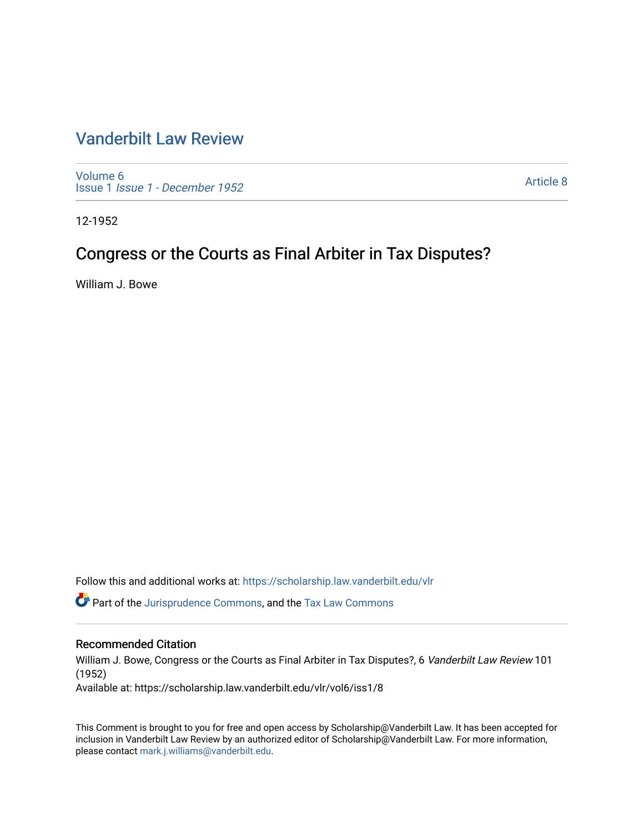# [Vanderbilt Law Review](https://scholarship.law.vanderbilt.edu/vlr)

[Volume 6](https://scholarship.law.vanderbilt.edu/vlr/vol6) Issue 1 [Issue 1 - December 1952](https://scholarship.law.vanderbilt.edu/vlr/vol6/iss1) 

[Article 8](https://scholarship.law.vanderbilt.edu/vlr/vol6/iss1/8) 

12-1952

# Congress or the Courts as Final Arbiter in Tax Disputes?

William J. Bowe

Follow this and additional works at: [https://scholarship.law.vanderbilt.edu/vlr](https://scholarship.law.vanderbilt.edu/vlr?utm_source=scholarship.law.vanderbilt.edu%2Fvlr%2Fvol6%2Fiss1%2F8&utm_medium=PDF&utm_campaign=PDFCoverPages)

 $\bullet$  Part of the [Jurisprudence Commons](http://network.bepress.com/hgg/discipline/610?utm_source=scholarship.law.vanderbilt.edu%2Fvlr%2Fvol6%2Fiss1%2F8&utm_medium=PDF&utm_campaign=PDFCoverPages), and the Tax Law Commons

# Recommended Citation

William J. Bowe, Congress or the Courts as Final Arbiter in Tax Disputes?, 6 Vanderbilt Law Review 101 (1952)

Available at: https://scholarship.law.vanderbilt.edu/vlr/vol6/iss1/8

This Comment is brought to you for free and open access by Scholarship@Vanderbilt Law. It has been accepted for inclusion in Vanderbilt Law Review by an authorized editor of Scholarship@Vanderbilt Law. For more information, please contact [mark.j.williams@vanderbilt.edu.](mailto:mark.j.williams@vanderbilt.edu)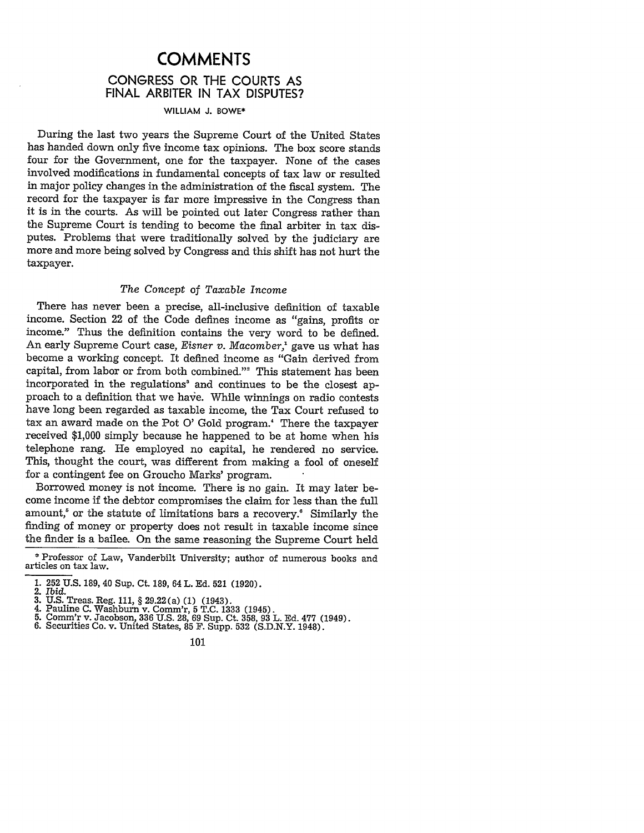# **COMMENTS CONGRESS** OR THE **COURTS AS FINAL** ARBITER **IN** TAX **DISPUTES?**

#### WILLIAM **J.** BOWE\*

During the last two years the Supreme Court of the United States has handed down only five income tax opinions. The box score stands four for the Government, one for the taxpayer. None of the cases involved modifications in fundamental concepts of tax law or resulted in major policy changes in the administration of the fiscal system. The record for the taxpayer is far more impressive in the Congress than it is in the courts. As will be pointed out later Congress rather than the Supreme Court is tending to become the final arbiter in tax disputes. Problems that were traditionally solved by the judiciary are more and more being solved by Congress and this shift has not hurt the taxpayer.

#### *The Concept of Taxable Income*

There has never been a precise, all-inclusive definition of taxable income. Section 22 of the Code defines income as "gains, profits or income." Thus the definition contains the very word to be defined. An early Supreme Court case, *Eisner v. Macomber,'* gave us what has become a working concept. It defined income as "Gain derived from capital, from labor or from both combined."<sup>2</sup> This statement has been incorporated in the regulations' and continues to be the closest approach to a definition that we haxe. While winnings on radio contests have long been regarded as taxable income, the Tax Court refused to tax an award made on the Pot **0'** Gold program.' There the taxpayer received \$1,000 simply because he happened to be at home when his telephone rang. He employed no capital, he rendered no service. This, thought the court, was different from making a fool of oneself for a contingent fee on Groucho Marks' program.

Borrowed money is not income. There is no gain. It may later become income if the debtor compromises the claim for less than the full amount, $5$  or the statute of limitations bars a recovery. $6$  Similarly the finding of money or property does not result in taxable income since the finder is a bailee. On the same reasoning the Supreme Court held

- 
- 
- 3. U.S. Treas. Reg. 111, § 29.22(a) (1) (1943).<br>4. Pauline C. Washburn v. Comm'r, 5 T.C. 1333 (1945).<br>5. Comm'r v. Jacobson, 336 U.S. 28, 69 Sup. Ct. 358, 93 L. Ed. 477 (1949)<br>6. Securities Co. v. United States, 85 F. Supp
- 

<sup>\*</sup> Professor of Law, Vanderbilt University; author of numerous books and articles on tax law.

<sup>1. 252</sup> U.S. 189, 40 Sup. Ct. 189, 64 L. Ed. 521 (1920)<br>2. *Ibid.*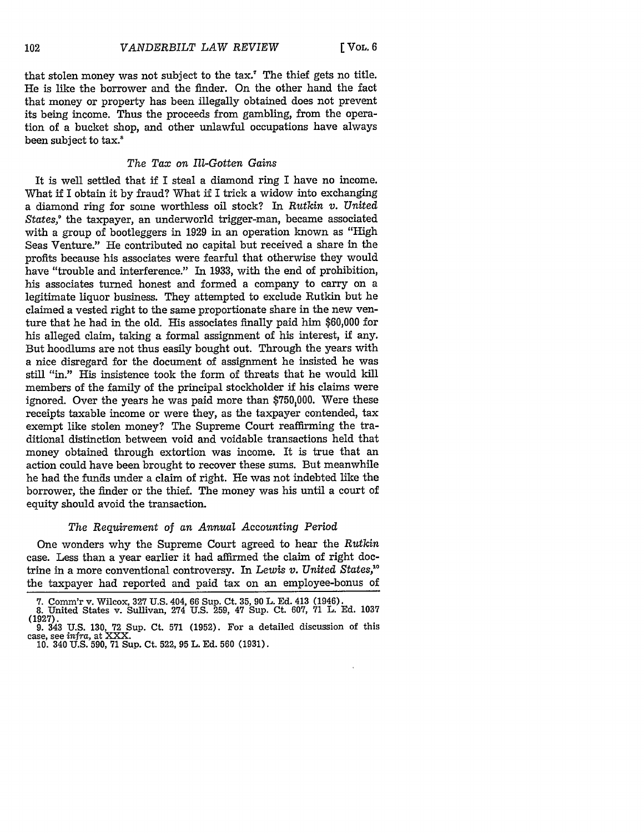that stolen money was not subject to the tax.' The thief gets no title. He is like the borrower and the finder. On the other hand the fact that money or property has been illegally obtained does not prevent its being income. Thus the proceeds from gambling, from the operation of a bucket shop, and other unlawful occupations have always been subject to tax.<sup>8</sup>

### *The Tax on Ill-Gotten Gains*

It is well settled that if I steal a diamond ring I have no income. What if I obtain it by fraud? What if I trick a widow into exchanging a diamond ring for some worthless oil stock? In *Rutkin v. United States,'* the taxpayer, an underworld trigger-man, became associated with a group of bootleggers in 1929 in an operation known as "High Seas Venture." He contributed no capital but received a share in the profits because his associates were fearful that otherwise they would have "trouble and interference." In 1933, with the end of prohibition, his associates turned honest and formed a company to carry on a legitimate liquor business. They attempted to exclude Rutkin but he claimed a vested right to the same proportionate share in the new venture that he had in the old. His associates finally paid him \$60,000 for his alleged claim, taking a formal assignment of his interest, if any. But hoodlums are not thus easily bought out. Through the years with a nice disregard for the document of assignment he insisted he was still "in." His insistence took the form of threats that he would kill members of the family of the principal stockholder if his claims were ignored. Over the years he was paid more than \$750,000. Were these receipts taxable income or were they, as the taxpayer contended, tax exempt like stolen money? The Supreme Court reaffirming the traditional distinction between void and voidable transactions held that money obtained through extortion was income. It is true that an action could have been brought to recover these sums. But meanwhile he had the funds under a claim of right. He was not indebted like the borrower, the finder or the thief. The money was his until a court of equity should avoid the transaction.

#### *The Requirement of an Annual Accounting* Period

One wonders why the Supreme Court agreed to hear the *Rutkin* case. Less than a year earlier it had affirmed the claim of right doctrine in a more conventional controversy. In *Lewis v. United States,"* the taxpayer had reported and paid tax on an employee-bonus of

<sup>7.</sup> Comm'r v. Wilcox, 327 U.S. 404, 66 Sup. Ct. 35, 90 L. Ed. 413 (1946). 8. United States v. Sullivan, 274 U.S. 259, 47 Sup. Ct. 607, 71 L. Ed. 1037 (1927).

<sup>9. 343</sup> **U.S. 130, 72** Sup. Ct. **571 (1952).** For a detailed discussion of this case, see *infra,* at XXX. 10. 340 U.S. 590, 71 Sup. Ct. 522, 95 L. Ed. 560 (1931).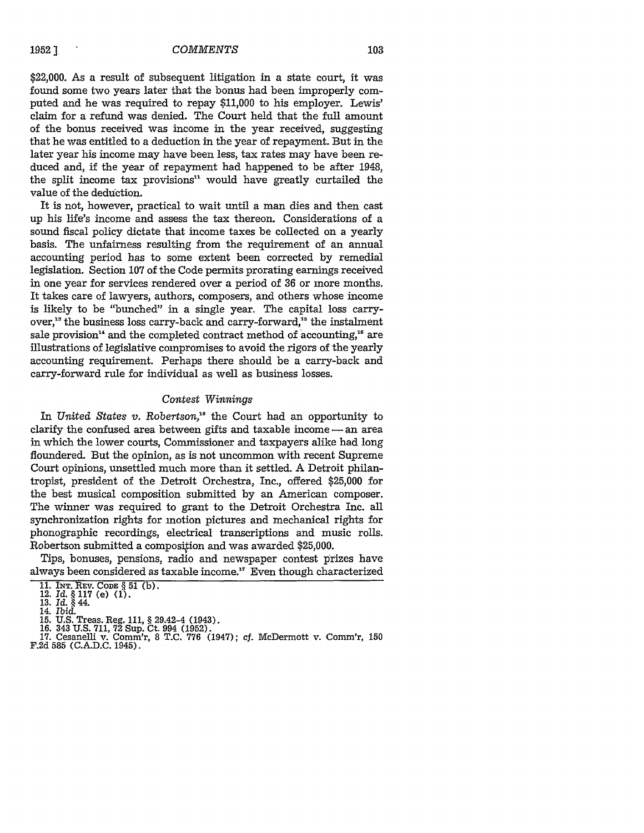#### *COMMENTS*

\$22,000. As a result of subsequent litigation in a state court, it was found some two years later that the bonus had been improperly computed and he was required to repay \$11,000 to his employer. Lewis' claim for a refund was denied. The Court held that the full amount of the bonus received was income in the year received, suggesting that he was entitled to a deduction in the year of repayment. But in the later year his income may have been less, tax rates may have been reduced and, if the year of repayment had happened to be after 1948, the split income tax provisions $1$ <sup>1</sup> would have greatly curtailed the value of the deduction.

It is not, however, practical to wait until a man dies and then cast up his life's income and assess the tax thereon. Considerations of a sound fiscal policy dictate that income taxes be collected on a yearly basis. The unfairness resulting from the requirement of an annual accounting period has to some extent been corrected by remedial legislation. Section 107 of the Code permits prorating earnings received in one year for services rendered over a period of 36 or more months. It takes care of lawyers, authors, composers, and others whose income is likely to be "bunched" in a single year. The capital loss carryover,<sup>12</sup> the business loss carry-back and carry-forward,<sup>13</sup> the instalment sale provision<sup>14</sup> and the completed contract method of accounting,<sup>15</sup> are illustrations of legislative compromises to avoid the rigors of the yearly accounting requirement. Perhaps there should be a carry-back and carry-forward rule for individual as well as business losses.

#### *Contest Winnings*

In *United States v. Robertson,"* the Court had an opportunity to clarify the confused area between gifts and taxable income  $-$  an area in which the lower courts, Commissioner and taxpayers alike had long floundered. But the opinion, as is not uncommon with recent Supreme Court opinions, unsettled much more than it settled. A Detroit philantropist, president of the Detroit Orchestra, Inc., offered \$25,000 for the best musical composition submitted by an American composer. The winner was required to grant to the Detroit Orchestra Inc. all synchronization rights for motion pictures and mechanical rights for phonographic recordings, electrical transcriptions and music rolls. Robertson submitted a composition and was awarded \$25,000.

Tips, bonuses, pensions, radio and newspaper contest prizes have always been considered as taxable income.<sup>17</sup> Even though characterized

- 
- 
- 14. *Ibid.* **15. U.S.** Treas. Reg. **111,** § 29.42-4 (1943). **16.** 343 **U.S. 711, 72** Sup. Ct. 994 **(1952).**
- 
- **17.** Cesanelli v. Comm'r, 8 **T.C. 776** (1947); cf. McDermott v. Comm'r, **150 F.2d** 585 **(C.A.D.C.** 1945).

**<sup>11.</sup>** INT. REV. **CODE § 51 (b).** 12. **Id.** § **117** (e) (1). **13.** *Id. §* 44.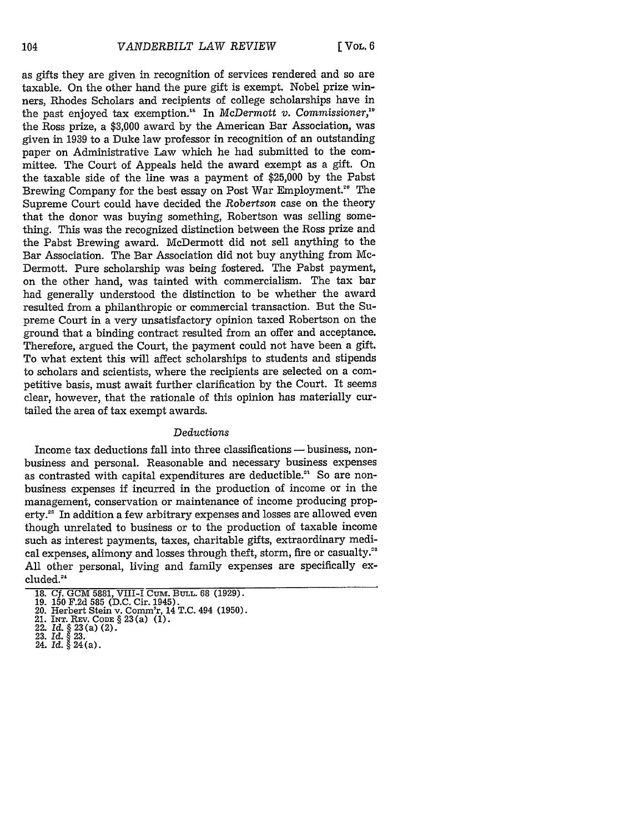as gifts they are given in recognition of services rendered and so are taxable. On the other hand the pure gift is exempt. Nobel prize winners, Rhodes Scholars and recipients of college scholarships have in the past enjoyed tax exemption.'" In *McDermott v. Commissioner,"* the Ross prize, a \$3,000 award by the American Bar Association, was given in 1939 to a Duke law professor in recognition of an outstanding paper on Administrative Law which he had submitted to the committee. The Court of Appeals held the award exempt as a gift. On the taxable side of the line was a payment of \$25,000 by the Pabst Brewing Company for the best essay on Post War Employment.<sup>20</sup> The Supreme Court could have decided the Robertson case on the theory that the donor was buying something, Robertson was selling something. This was the recognized distinction between the Ross prize and the Pabst Brewing award. McDermott did not sell anything to the Bar Association. The Bar Association did not buy anything from Mc-Dermott. Pure scholarship was being fostered. The Pabst payment, on the other hand, was tainted with commercialism. The tax bar had generally understood the distinction to be whether the award resulted from a philanthropic or commercial transaction. But the Supreme Court in a very unsatisfactory opinion taxed Robertson on the ground that a binding contract resulted from an offer and acceptance. Therefore, argued the Court, the payment could not have been a gift. To what extent this will affect scholarships to students and stipends to scholars and scientists, where the recipients are selected on a competitive basis, must await further clarification by the Court. It seems clear, however, that the rationale of this opinion has materially curtailed the area of tax exempt awards.

#### *Deductions*

Income tax deductions fall into three classifications - business, nonbusiness and personal. Reasonable and necessary business expenses as contrasted with capital expenditures are deductible." So are nonbusiness expenses if incurred in the production of income or in the management, conservation or maintenance of income producing property." In addition a few arbitrary expenses and losses are allowed even though unrelated to business or to the production of taxable income such as interest payments, taxes, charitable gifts, extraordinary medical expenses, alimony and losses through theft, storm, fire or casualty.<sup>20</sup> All other personal, living and family expenses are specifically excluded."'

**<sup>18.</sup> Cf. GCM** 5881, VIII-I **Cum. BULL.** 68 **(1929).**

<sup>19.</sup> **150** F.2d 585 (D.C. Cir. 1945). 20. Herbert Stein v. Comm'r, 14 T.C. 494 (1950).

<sup>21.</sup> INT. REV. **CODE § 23** (a) (1).

<sup>22.</sup> *Id.* **§ 23 (a)** (2). 23. *Id. §* 23.

<sup>24.</sup> *Id.* **§** 24(a).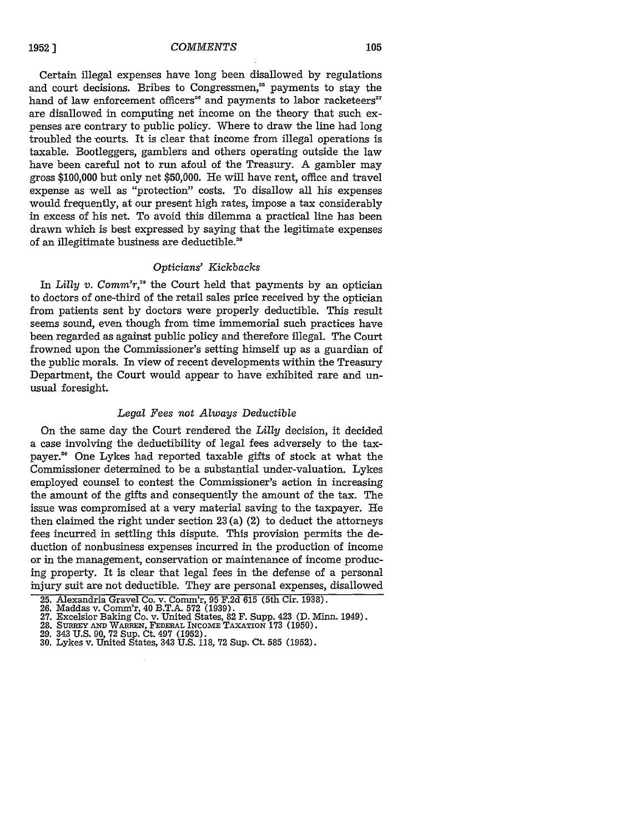**1952 ]**

#### *COMMENTS*

Certain illegal expenses have long been disallowed by regulations and court decisions. Bribes to Congressmen,<sup>25</sup> payments to stay the hand of law enforcement officers<sup>26</sup> and payments to labor racketeers<sup>27</sup> are disallowed in computing net income on the theory that such expenses are contrary to public policy. Where to draw the line had long troubled the courts. It is clear that income from illegal operations is taxable. Bootleggers, gamblers and others operating outside the law have been careful not to run afoul of the Treasury. A gambler may gross \$100,000 but only net \$50,000. He will have rent, office and travel expense as well as "protection" costs. To disallow all his expenses would frequently, at our present high rates, impose a tax considerably in excess of his net. To avoid this dilemma a practical line has been drawn which is best expressed by saying that the legitimate expenses of an illegitimate business are deductible."

# *Opticians' Kickbacks*

In *Lilly v. Comm'r*,<sup>20</sup> the Court held that payments by an optician to doctors of one-third of the retail sales price received by the optician from patients sent by doctors were properly deductible. This result seems sound, even though from time immemorial such practices have been regarded as against public policy and therefore illegal. The Court frowned upon the Commissioner's setting himself up as a guardian of the public morals. In view of recent developments within the Treasury Department, the Court would appear to have exhibited rare and unusual foresight.

### *Legal Fees not Always Deductible*

On the same day the Court rendered the *Lilly* decision, it decided a case involving the deductibility of legal fees adversely to the taxpayer." One Lykes had reported taxable gifts of stock at what the Commissioner determined to be a substantial under-valuation. Lykes employed counsel to contest the Commissioner's action in increasing the amount of the gifts and consequently the amount of the tax. The issue was compromised at a very material saving to the taxpayer. He then claimed the right under section **23** (a) (2) to deduct the attorneys fees incurred in settling this dispute. This provision permits the deduction of nonbusiness expenses incurred in the production of income or in the management, conservation or maintenance of income producing property. It is clear that legal fees in the defense of a personal injury suit are not deductible. They are personal expenses, disallowed

- 
- 

<sup>25.</sup> Alexandria Gravel Co. v. Comm'r, 95 F.2d 615 (5th Cir. 1938).

<sup>26.</sup> Maddas v. Comm'r, 40 B.T.A. 572 (1939).<br>27. Excelsior Baking Co. v. United States, 82 F. Supp. 423 (D. Minn. 1949)<br>28. SURREY AND WARREN, FEDERAL INCOME TAXATION 173 (1950).<br>29. 343 U.S. 90, 72 Sup. Ct. 497 (1952).<br>30.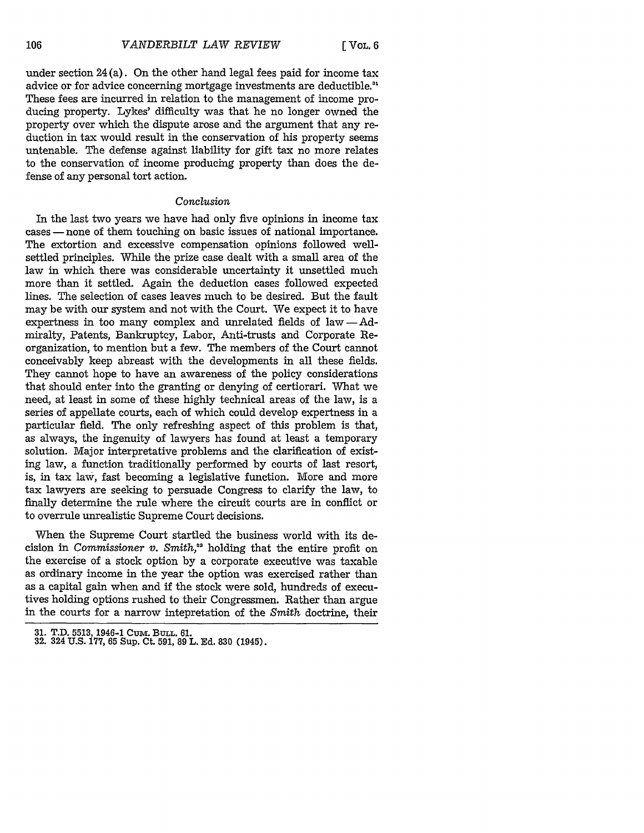under section 24 (a). On the other hand legal fees paid for income tax advice or for advice concerning mortgage investments are deductible." These fees are incurred in relation to the management of income producing property. Lykes' difficulty was that he no longer owned the property over which the dispute arose and the argument that any reduction in tax would result in the conservation of his property seems untenable. The defense against liability for gift tax no more relates to the conservation of income producing property than does the defense of any personal tort action.

# *Conclusion*

In the last two years we have had only five opinions in income tax cases — none of them touching on basic issues of national importance. The extortion and excessive compensation opinions followed wellsettled principles. While the prize case dealt with a small area of the law in which there was considerable uncertainty it unsettled much more than it settled. Again the deduction cases followed expected lines. The selection of cases leaves much to be desired. But the fault may be with our system and not with the Court. We expect it to have expertness in too many complex and unrelated fields of  $law - Ad$ miralty, Patents, Bankruptcy, Labor, Anti-trusts and Corporate Reorganization, to mention but a few. The members of the Court cannot conceivably keep abreast with the developments in all these fields. They cannot hope to have an awareness of the policy considerations that should enter into the granting or denying of certiorari. What we need, at least in some of these highly technical areas of the law, is a series of appellate courts, each of which could develop expertness in a particular field. The only refreshing aspect of this problem is that, as always, the ingenuity of lawyers has found at least a temporary solution. Major interpretative problems and the clarification of existing law, a function traditionally performed by courts of last resort, is, in tax law, fast becoming a legislative function. More and more tax lawyers are seeking to persuade Congress to clarify the law, to finally determine the rule where the circuit courts are in conflict or to overrule unrealistic Supreme Court decisions.

When the Supreme Court startled the business world with its decision in *Commissioner v. Smith*,<sup>32</sup> holding that the entire profit on the exercise of a stock option by a corporate executive was taxable as ordinary income in the year the option was exercised rather than as a capital gain when and if the stock were sold, hundreds of executives holding options rushed to their Congressmen. Rather than argue in the courts for a narrow intepretation of the *Smith* doctrine, their

**<sup>31.</sup>** T.D. **5513, 1946-1** Cumv. BuLL. **61. 32.** 324 **U.S. 177, 65** Sup. Ct. **591, 89** L. **Ed. 830** (1945).